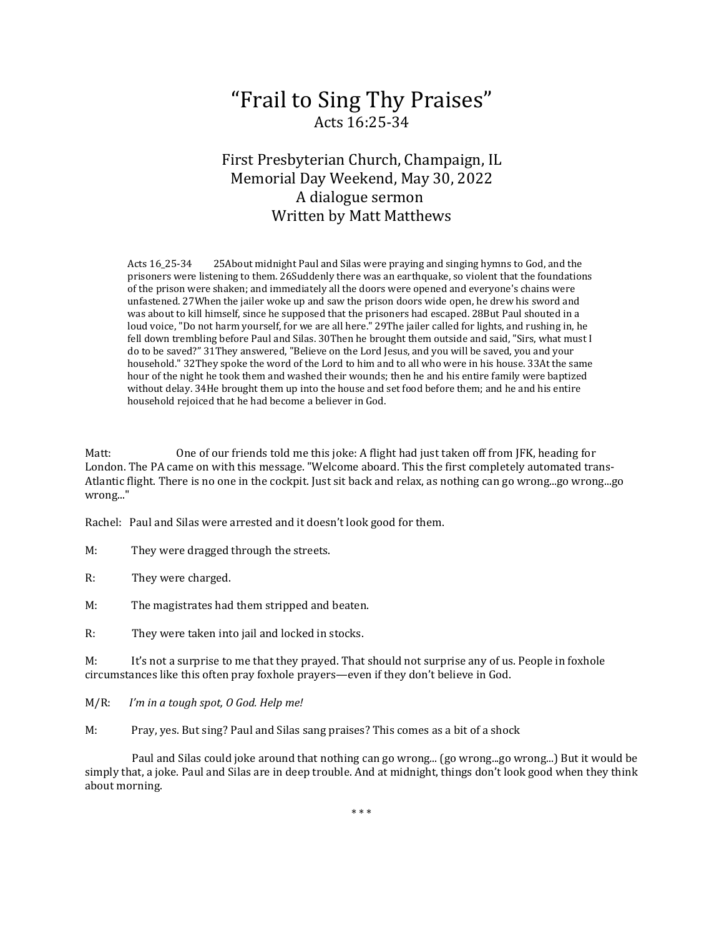# "Frail to Sing Thy Praises" Acts 16:25-34

# First Presbyterian Church, Champaign, IL Memorial Day Weekend, May 30, 2022 A dialogue sermon Written by Matt Matthews

Acts 16\_25-34 25About midnight Paul and Silas were praying and singing hymns to God, and the prisoners were listening to them. 26Suddenly there was an earthquake, so violent that the foundations of the prison were shaken; and immediately all the doors were opened and everyone's chains were unfastened. 27When the jailer woke up and saw the prison doors wide open, he drew his sword and was about to kill himself, since he supposed that the prisoners had escaped. 28But Paul shouted in a loud voice, "Do not harm yourself, for we are all here." 29The jailer called for lights, and rushing in, he fell down trembling before Paul and Silas. 30Then he brought them outside and said, "Sirs, what must I do to be saved?" 31They answered, "Believe on the Lord Jesus, and you will be saved, you and your household." 32They spoke the word of the Lord to him and to all who were in his house. 33At the same hour of the night he took them and washed their wounds; then he and his entire family were baptized without delay. 34He brought them up into the house and set food before them; and he and his entire household rejoiced that he had become a believer in God.

Matt: One of our friends told me this joke: A flight had just taken off from JFK, heading for London. The PA came on with this message. "Welcome aboard. This the first completely automated trans-Atlantic flight. There is no one in the cockpit. Just sit back and relax, as nothing can go wrong...go wrong...go wrong..."

Rachel: Paul and Silas were arrested and it doesn't look good for them.

M: They were dragged through the streets.

R: They were charged.

M: The magistrates had them stripped and beaten.

R: They were taken into jail and locked in stocks.

M: It's not a surprise to me that they prayed. That should not surprise any of us. People in foxhole circumstances like this often pray foxhole prayers—even if they don't believe in God.

M/R: *I'm in a tough spot, O God. Help me!*

M: Pray, yes. But sing? Paul and Silas sang praises? This comes as a bit of a shock

 Paul and Silas could joke around that nothing can go wrong... (go wrong...go wrong...) But it would be simply that, a joke. Paul and Silas are in deep trouble. And at midnight, things don't look good when they think about morning.

\* \* \*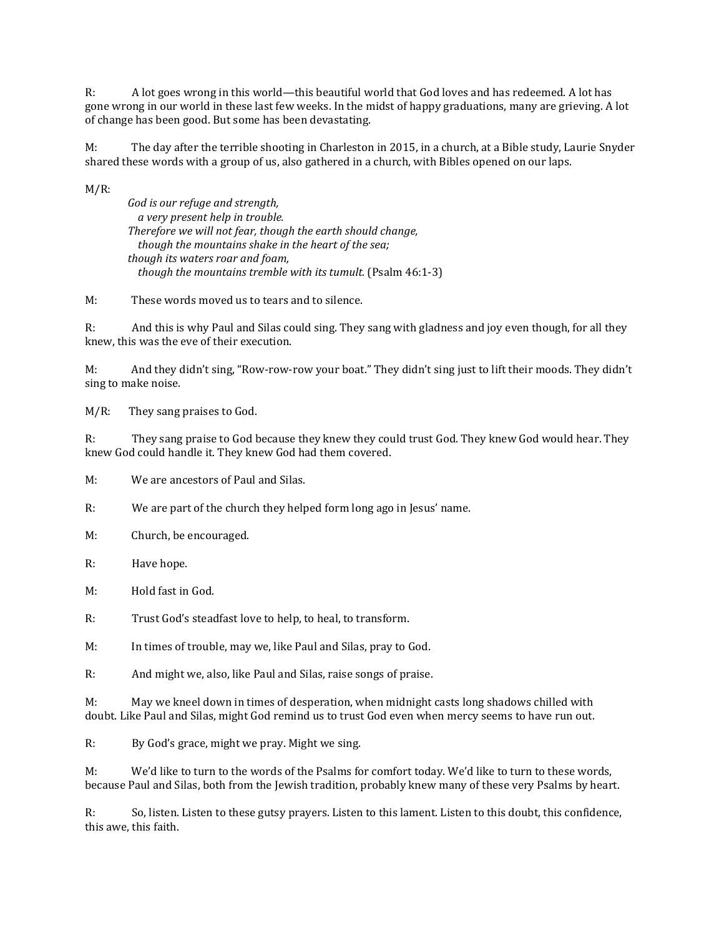R: A lot goes wrong in this world—this beautiful world that God loves and has redeemed. A lot has gone wrong in our world in these last few weeks. In the midst of happy graduations, many are grieving. A lot of change has been good. But some has been devastating.

M: The day after the terrible shooting in Charleston in 2015, in a church, at a Bible study, Laurie Snyder shared these words with a group of us, also gathered in a church, with Bibles opened on our laps.

 $M/R$ :

*God is our refuge and strength, a very present help in trouble. Therefore we will not fear, though the earth should change, though the mountains shake in the heart of the sea; though its waters roar and foam, though the mountains tremble with its tumult.* (Psalm 46:1-3)

M: These words moved us to tears and to silence.

R: And this is why Paul and Silas could sing. They sang with gladness and joy even though, for all they knew, this was the eve of their execution.

M: And they didn't sing, "Row-row-row your boat." They didn't sing just to lift their moods. They didn't sing to make noise.

M/R: They sang praises to God.

R: They sang praise to God because they knew they could trust God. They knew God would hear. They knew God could handle it. They knew God had them covered.

M: We are ancestors of Paul and Silas.

R: We are part of the church they helped form long ago in Jesus' name.

M: Church, be encouraged.

R: Have hope.

M: Hold fast in God.

R: Trust God's steadfast love to help, to heal, to transform.

M: In times of trouble, may we, like Paul and Silas, pray to God.

R: And might we, also, like Paul and Silas, raise songs of praise.

M: May we kneel down in times of desperation, when midnight casts long shadows chilled with doubt. Like Paul and Silas, might God remind us to trust God even when mercy seems to have run out.

R: By God's grace, might we pray. Might we sing.

M: We'd like to turn to the words of the Psalms for comfort today. We'd like to turn to these words, because Paul and Silas, both from the Jewish tradition, probably knew many of these very Psalms by heart.

R: So, listen. Listen to these gutsy prayers. Listen to this lament. Listen to this doubt, this confidence, this awe, this faith.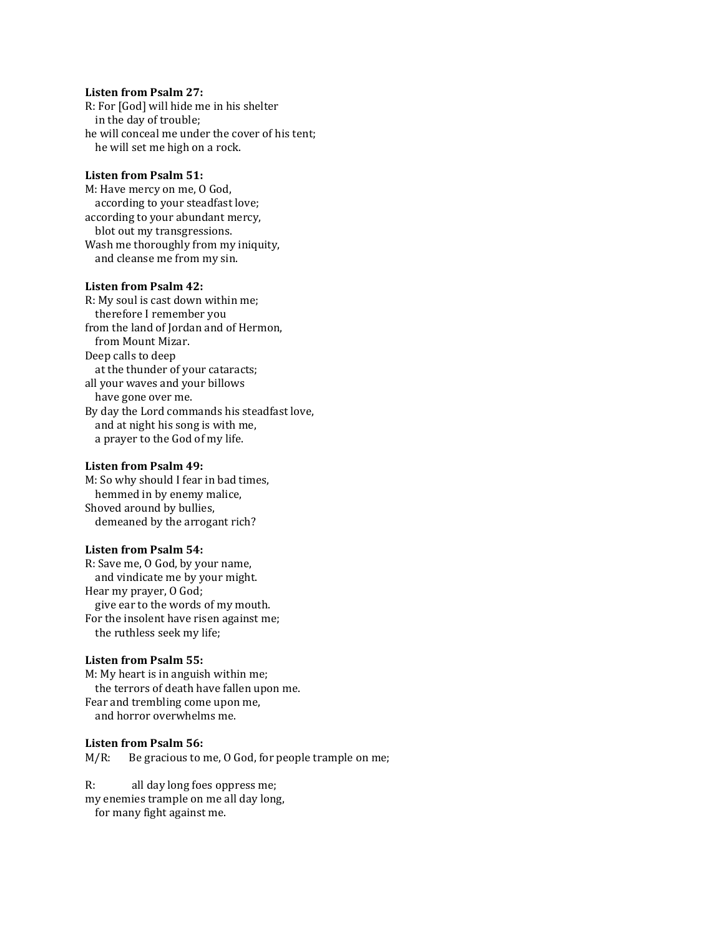# **Listen from Psalm 27:**

R: For [God] will hide me in his shelter in the day of trouble; he will conceal me under the cover of his tent; he will set me high on a rock.

# **Listen from Psalm 51:**

M: Have mercy on me, O God, according to your steadfast love; according to your abundant mercy, blot out my transgressions. Wash me thoroughly from my iniquity, and cleanse me from my sin.

# **Listen from Psalm 42:**

R: My soul is cast down within me; therefore I remember you from the land of Jordan and of Hermon, from Mount Mizar. Deep calls to deep at the thunder of your cataracts; all your waves and your billows have gone over me. By day the Lord commands his steadfast love, and at night his song is with me, a prayer to the God of my life.

#### **Listen from Psalm 49:**

M: So why should I fear in bad times, hemmed in by enemy malice, Shoved around by bullies, demeaned by the arrogant rich?

#### **Listen from Psalm 54:**

R: Save me, O God, by your name, and vindicate me by your might. Hear my prayer, O God; give ear to the words of my mouth. For the insolent have risen against me; the ruthless seek my life;

#### **Listen from Psalm 55:**

M: My heart is in anguish within me; the terrors of death have fallen upon me. Fear and trembling come upon me, and horror overwhelms me.

#### **Listen from Psalm 56:**

M/R: Be gracious to me, O God, for people trample on me;

R: all day long foes oppress me; my enemies trample on me all day long, for many fight against me.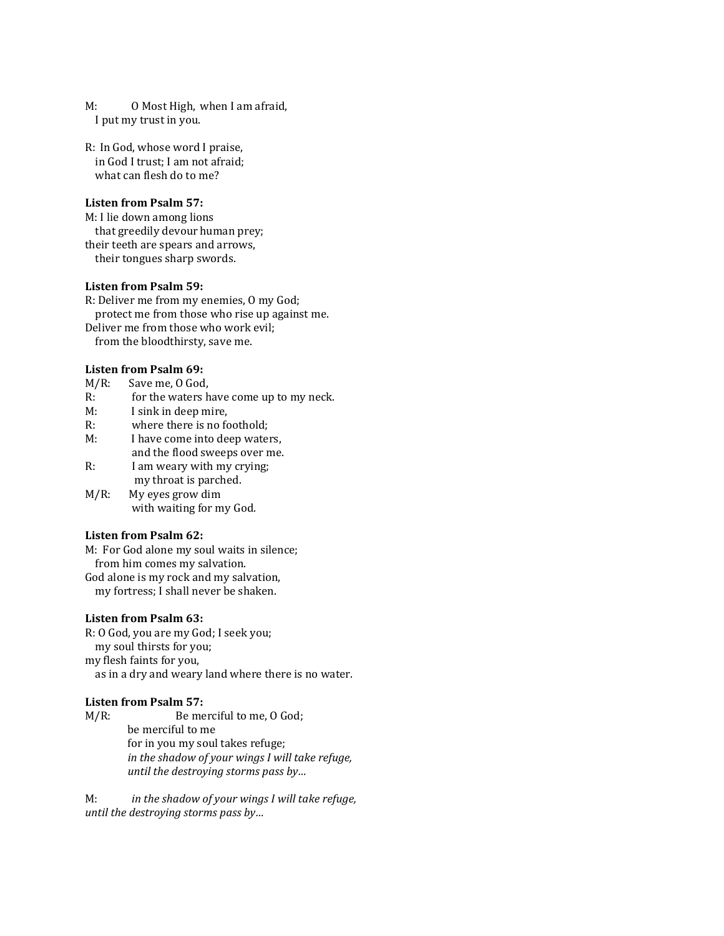M: O Most High, when I am afraid, I put my trust in you.

R: In God, whose word I praise, in God I trust; I am not afraid; what can flesh do to me?

#### **Listen from Psalm 57:**

M: I lie down among lions that greedily devour human prey; their teeth are spears and arrows, their tongues sharp swords.

# **Listen from Psalm 59:**

R: Deliver me from my enemies, O my God; protect me from those who rise up against me. Deliver me from those who work evil; from the bloodthirsty, save me.

#### **Listen from Psalm 69:**

- 
- M/R: Save me, O God,<br>R: for the waters h R: for the waters have come up to my neck.<br>M: I sink in deep mire.
- M: I sink in deep mire,<br>R: where there is no fo
- R: where there is no foothold;<br> $M'$  I have come into deep water
- I have come into deep waters,
- and the flood sweeps over me.<br>R: I am weary with my crying: I am weary with my crying;
- my throat is parched.<br>M/R: My eyes grow dim My eyes grow dim with waiting for my God.

## **Listen from Psalm 62:**

M: For God alone my soul waits in silence; from him comes my salvation. God alone is my rock and my salvation, my fortress; I shall never be shaken.

# **Listen from Psalm 63:**

R: O God, you are my God; I seek you; my soul thirsts for you; my flesh faints for you, as in a dry and weary land where there is no water.

## **Listen from Psalm 57:**

M/R: Be merciful to me, O God; be merciful to me for in you my soul takes refuge; *in the shadow of your wings I will take refuge, until the destroying storms pass by…*

M: *in the shadow of your wings I will take refuge, until the destroying storms pass by…*